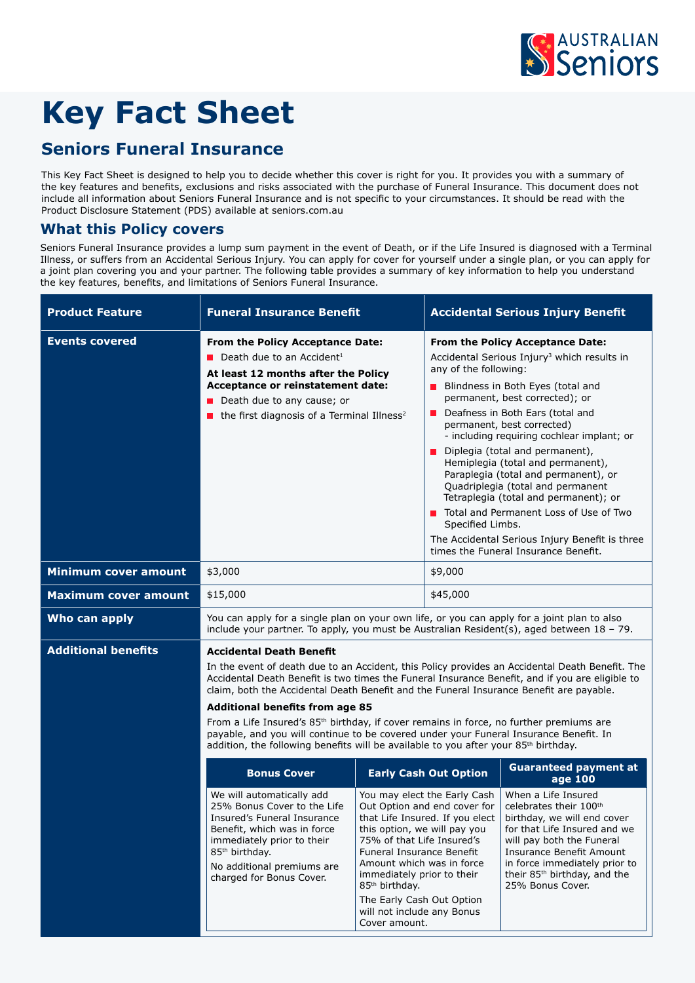

# **Key Fact Sheet**

# **Seniors Funeral Insurance**

This Key Fact Sheet is designed to help you to decide whether this cover is right for you. It provides you with a summary of the key features and benefits, exclusions and risks associated with the purchase of Funeral Insurance. This document does not include all information about Seniors Funeral Insurance and is not specific to your circumstances. It should be read with the Product Disclosure Statement (PDS) available at seniors.com.au

## **What this Policy covers**

Seniors Funeral Insurance provides a lump sum payment in the event of Death, or if the Life Insured is diagnosed with a Terminal Illness, or suffers from an Accidental Serious Injury. You can apply for cover for yourself under a single plan, or you can apply for a joint plan covering you and your partner. The following table provides a summary of key information to help you understand the key features, benefits, and limitations of Seniors Funeral Insurance.

| <b>Product Feature</b>      | <b>Funeral Insurance Benefit</b>                                                                                                                                                                                                                                                                                                                                                                                                                                                                                                                                                                                                                                              |                                                                                                                                                                                                                                                              | <b>Accidental Serious Injury Benefit</b>                                                                                                                                                                                                                                                                                                                                                                                                                                                                                                                                                                                                                                                   |                                                                                                                                                                                                                                                                        |  |
|-----------------------------|-------------------------------------------------------------------------------------------------------------------------------------------------------------------------------------------------------------------------------------------------------------------------------------------------------------------------------------------------------------------------------------------------------------------------------------------------------------------------------------------------------------------------------------------------------------------------------------------------------------------------------------------------------------------------------|--------------------------------------------------------------------------------------------------------------------------------------------------------------------------------------------------------------------------------------------------------------|--------------------------------------------------------------------------------------------------------------------------------------------------------------------------------------------------------------------------------------------------------------------------------------------------------------------------------------------------------------------------------------------------------------------------------------------------------------------------------------------------------------------------------------------------------------------------------------------------------------------------------------------------------------------------------------------|------------------------------------------------------------------------------------------------------------------------------------------------------------------------------------------------------------------------------------------------------------------------|--|
| <b>Events covered</b>       | From the Policy Acceptance Date:<br><b>Death due to an Accident</b> <sup>1</sup><br>At least 12 months after the Policy<br>Acceptance or reinstatement date:<br>Death due to any cause; or<br>the first diagnosis of a Terminal Illness <sup>2</sup>                                                                                                                                                                                                                                                                                                                                                                                                                          |                                                                                                                                                                                                                                                              | From the Policy Acceptance Date:<br>Accidental Serious Injury <sup>3</sup> which results in<br>any of the following:<br><b>Blindness in Both Eyes (total and</b><br>permanent, best corrected); or<br>Deafness in Both Ears (total and<br>permanent, best corrected)<br>- including requiring cochlear implant; or<br>Diplegia (total and permanent),<br>$\mathbb{R}^n$<br>Hemiplegia (total and permanent),<br>Paraplegia (total and permanent), or<br>Quadriplegia (total and permanent<br>Tetraplegia (total and permanent); or<br>Total and Permanent Loss of Use of Two<br>Specified Limbs.<br>The Accidental Serious Injury Benefit is three<br>times the Funeral Insurance Benefit. |                                                                                                                                                                                                                                                                        |  |
| <b>Minimum cover amount</b> | \$3,000                                                                                                                                                                                                                                                                                                                                                                                                                                                                                                                                                                                                                                                                       |                                                                                                                                                                                                                                                              | \$9,000                                                                                                                                                                                                                                                                                                                                                                                                                                                                                                                                                                                                                                                                                    |                                                                                                                                                                                                                                                                        |  |
| <b>Maximum cover amount</b> | \$15,000                                                                                                                                                                                                                                                                                                                                                                                                                                                                                                                                                                                                                                                                      |                                                                                                                                                                                                                                                              | \$45,000                                                                                                                                                                                                                                                                                                                                                                                                                                                                                                                                                                                                                                                                                   |                                                                                                                                                                                                                                                                        |  |
| Who can apply               | You can apply for a single plan on your own life, or you can apply for a joint plan to also<br>include your partner. To apply, you must be Australian Resident(s), aged between $18 - 79$ .                                                                                                                                                                                                                                                                                                                                                                                                                                                                                   |                                                                                                                                                                                                                                                              |                                                                                                                                                                                                                                                                                                                                                                                                                                                                                                                                                                                                                                                                                            |                                                                                                                                                                                                                                                                        |  |
| <b>Additional benefits</b>  | <b>Accidental Death Benefit</b><br>In the event of death due to an Accident, this Policy provides an Accidental Death Benefit. The<br>Accidental Death Benefit is two times the Funeral Insurance Benefit, and if you are eligible to<br>claim, both the Accidental Death Benefit and the Funeral Insurance Benefit are payable.<br><b>Additional benefits from age 85</b><br>From a Life Insured's 85 <sup>th</sup> birthday, if cover remains in force, no further premiums are<br>payable, and you will continue to be covered under your Funeral Insurance Benefit. In<br>addition, the following benefits will be available to you after your 85 <sup>th</sup> birthday. |                                                                                                                                                                                                                                                              |                                                                                                                                                                                                                                                                                                                                                                                                                                                                                                                                                                                                                                                                                            |                                                                                                                                                                                                                                                                        |  |
|                             | <b>Bonus Cover</b>                                                                                                                                                                                                                                                                                                                                                                                                                                                                                                                                                                                                                                                            |                                                                                                                                                                                                                                                              | <b>Early Cash Out Option</b>                                                                                                                                                                                                                                                                                                                                                                                                                                                                                                                                                                                                                                                               | <b>Guaranteed payment at</b><br>age 100                                                                                                                                                                                                                                |  |
|                             | We will automatically add<br>25% Bonus Cover to the Life<br>Insured's Funeral Insurance<br>Benefit, which was in force<br>immediately prior to their<br>85 <sup>th</sup> birthday.<br>No additional premiums are<br>charged for Bonus Cover.                                                                                                                                                                                                                                                                                                                                                                                                                                  | this option, we will pay you<br>75% of that Life Insured's<br>Funeral Insurance Benefit<br>Amount which was in force<br>immediately prior to their<br>85 <sup>th</sup> birthday.<br>The Early Cash Out Option<br>will not include any Bonus<br>Cover amount. | You may elect the Early Cash<br>Out Option and end cover for<br>that Life Insured. If you elect                                                                                                                                                                                                                                                                                                                                                                                                                                                                                                                                                                                            | When a Life Insured<br>celebrates their 100th<br>birthday, we will end cover<br>for that Life Insured and we<br>will pay both the Funeral<br>Insurance Benefit Amount<br>in force immediately prior to<br>their 85 <sup>th</sup> birthday, and the<br>25% Bonus Cover. |  |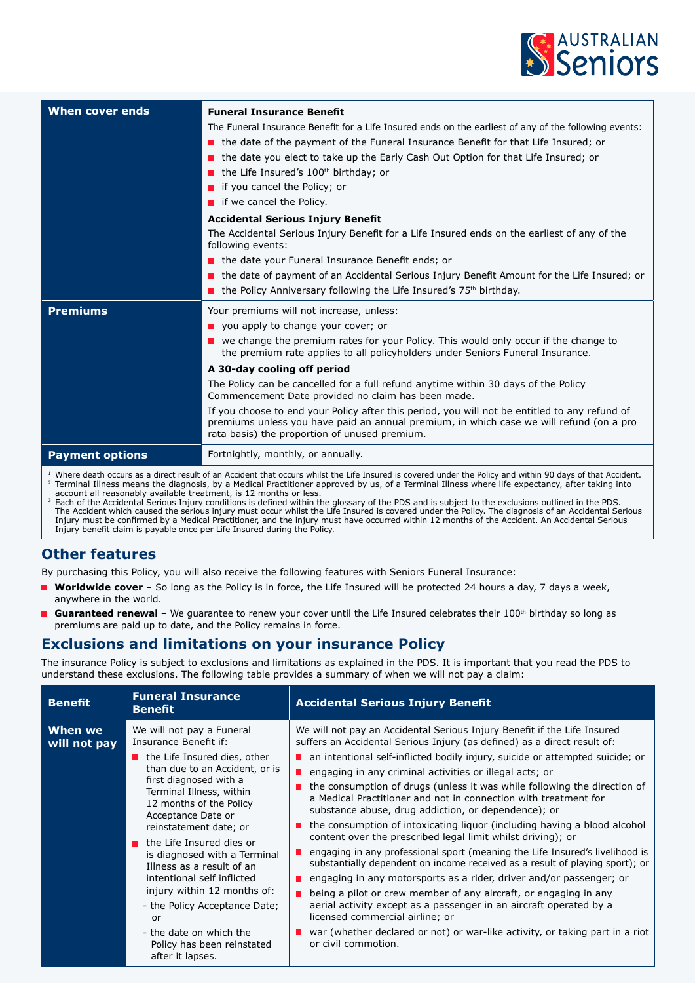

| When cover ends        | <b>Funeral Insurance Benefit</b>                                                                                                                                                                                                          |  |  |
|------------------------|-------------------------------------------------------------------------------------------------------------------------------------------------------------------------------------------------------------------------------------------|--|--|
|                        | The Funeral Insurance Benefit for a Life Insured ends on the earliest of any of the following events:                                                                                                                                     |  |  |
|                        | the date of the payment of the Funeral Insurance Benefit for that Life Insured; or                                                                                                                                                        |  |  |
|                        | the date you elect to take up the Early Cash Out Option for that Life Insured; or                                                                                                                                                         |  |  |
|                        | $\blacksquare$ the Life Insured's 100 <sup>th</sup> birthday; or                                                                                                                                                                          |  |  |
|                        | $\blacksquare$ if you cancel the Policy; or                                                                                                                                                                                               |  |  |
|                        | $\blacksquare$ if we cancel the Policy.                                                                                                                                                                                                   |  |  |
|                        | <b>Accidental Serious Injury Benefit</b>                                                                                                                                                                                                  |  |  |
|                        | The Accidental Serious Injury Benefit for a Life Insured ends on the earliest of any of the<br>following events:                                                                                                                          |  |  |
|                        | the date your Funeral Insurance Benefit ends; or                                                                                                                                                                                          |  |  |
|                        | the date of payment of an Accidental Serious Injury Benefit Amount for the Life Insured; or                                                                                                                                               |  |  |
|                        | <b>n</b> the Policy Anniversary following the Life Insured's $75th$ birthday.                                                                                                                                                             |  |  |
|                        |                                                                                                                                                                                                                                           |  |  |
| <b>Premiums</b>        | Your premiums will not increase, unless:                                                                                                                                                                                                  |  |  |
|                        | $\blacksquare$ you apply to change your cover; or                                                                                                                                                                                         |  |  |
|                        | $\blacksquare$ we change the premium rates for your Policy. This would only occur if the change to<br>the premium rate applies to all policyholders under Seniors Funeral Insurance.                                                      |  |  |
|                        | A 30-day cooling off period                                                                                                                                                                                                               |  |  |
|                        | The Policy can be cancelled for a full refund anytime within 30 days of the Policy<br>Commencement Date provided no claim has been made.                                                                                                  |  |  |
|                        | If you choose to end your Policy after this period, you will not be entitled to any refund of<br>premiums unless you have paid an annual premium, in which case we will refund (on a pro<br>rata basis) the proportion of unused premium. |  |  |
| <b>Payment options</b> | Fortnightly, monthly, or annually.                                                                                                                                                                                                        |  |  |

<sup>1</sup> Where death occurs as a direct result of an Accident that occurs whilst the Life Insured is covered under the Policy and within 90 days of that Accident. <sup>2</sup> Terminal Illness means the diagnosis, by a Medical Practitioner approved by us, of a Terminal Illness where life expectancy, after taking into

account all reasonably available treatment, is 12 months or less.<br><sup>3</sup> Each of the Accidental Serious Injury conditions is defined within the glossary of the PDS and is subject to the exclusions outlined in the PDS. The Accident which caused the serious injury must occur whilst the Life Insured is covered under the Policy. The diagnosis of an Accidental Serious<br>Injury must be confirmed by a Medical Practitioner, and the injury must ha Injury benefit claim is payable once per Life Insured during the Policy.

### **Other features**

By purchasing this Policy, you will also receive the following features with Seniors Funeral Insurance:

- **Worldwide cover** So long as the Policy is in force, the Life Insured will be protected 24 hours a day, 7 days a week, anywhere in the world.
- **Guaranteed renewal** We guarantee to renew your cover until the Life Insured celebrates their 100<sup>th</sup> birthday so long as premiums are paid up to date, and the Policy remains in force.

#### **Exclusions and limitations on your insurance Policy**

The insurance Policy is subject to exclusions and limitations as explained in the PDS. It is important that you read the PDS to understand these exclusions. The following table provides a summary of when we will not pay a claim:

| <b>Benefit</b>          | <b>Funeral Insurance</b><br><b>Benefit</b>                                                                                                                                                                                                                                                                                                                                                                                                                                                                                      | <b>Accidental Serious Injury Benefit</b>                                                                                                                                                                                                                                                                                                                                                                                                                                                                                                                                                                                                                                                                                                                                                                                                                                                                                                                                                                                                                                                                                                                                     |
|-------------------------|---------------------------------------------------------------------------------------------------------------------------------------------------------------------------------------------------------------------------------------------------------------------------------------------------------------------------------------------------------------------------------------------------------------------------------------------------------------------------------------------------------------------------------|------------------------------------------------------------------------------------------------------------------------------------------------------------------------------------------------------------------------------------------------------------------------------------------------------------------------------------------------------------------------------------------------------------------------------------------------------------------------------------------------------------------------------------------------------------------------------------------------------------------------------------------------------------------------------------------------------------------------------------------------------------------------------------------------------------------------------------------------------------------------------------------------------------------------------------------------------------------------------------------------------------------------------------------------------------------------------------------------------------------------------------------------------------------------------|
| When we<br>will not pay | We will not pay a Funeral<br>Insurance Benefit if:<br>the Life Insured dies, other<br>than due to an Accident, or is<br>first diagnosed with a<br>Terminal Illness, within<br>12 months of the Policy<br>Acceptance Date or<br>reinstatement date; or<br>the Life Insured dies or<br>is diagnosed with a Terminal<br>Illness as a result of an<br>intentional self inflicted<br>injury within 12 months of:<br>- the Policy Acceptance Date;<br>or<br>- the date on which the<br>Policy has been reinstated<br>after it lapses. | We will not pay an Accidental Serious Injury Benefit if the Life Insured<br>suffers an Accidental Serious Injury (as defined) as a direct result of:<br>an intentional self-inflicted bodily injury, suicide or attempted suicide; or<br>engaging in any criminal activities or illegal acts; or<br>the consumption of drugs (unless it was while following the direction of<br>a Medical Practitioner and not in connection with treatment for<br>substance abuse, drug addiction, or dependence); or<br>the consumption of intoxicating liguor (including having a blood alcohol<br>content over the prescribed legal limit whilst driving); or<br>engaging in any professional sport (meaning the Life Insured's livelihood is<br>substantially dependent on income received as a result of playing sport); or<br>engaging in any motorsports as a rider, driver and/or passenger; or<br>being a pilot or crew member of any aircraft, or engaging in any<br>aerial activity except as a passenger in an aircraft operated by a<br>licensed commercial airline; or<br>war (whether declared or not) or war-like activity, or taking part in a riot<br>or civil commotion. |